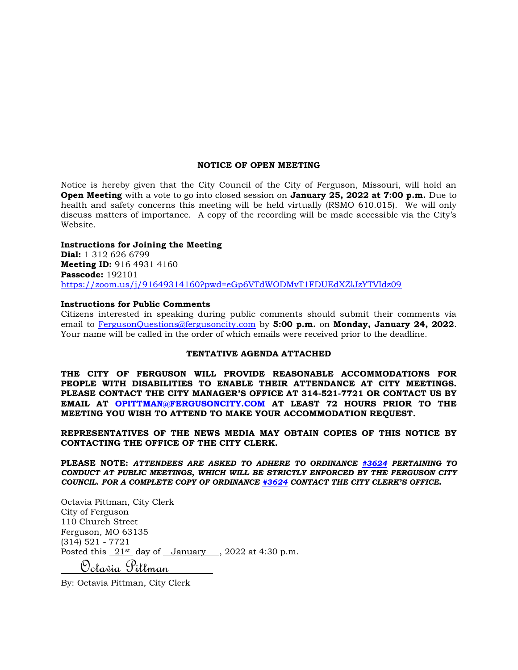#### **NOTICE OF OPEN MEETING**

Notice is hereby given that the City Council of the City of Ferguson, Missouri, will hold an **Open Meeting** with a vote to go into closed session on **January 25, 2022 at 7:00 p.m.** Due to health and safety concerns this meeting will be held virtually (RSMO 610.015). We will only discuss matters of importance. A copy of the recording will be made accessible via the City's Website.

#### **Instructions for Joining the Meeting**

**Dial:** 1 312 626 6799 **Meeting ID:** 916 4931 4160 **Passcode:** 192101 <https://zoom.us/j/91649314160?pwd=eGp6VTdWODMvT1FDUEdXZlJzYTVIdz09>

#### **Instructions for Public Comments**

Citizens interested in speaking during public comments should submit their comments via email to [FergusonQuestions@fergusoncity.com](mailto:FergusonQuestions@fergusoncity.com) by **5:00 p.m.** on **Monday, January 24, 2022**. Your name will be called in the order of which emails were received prior to the deadline.

#### **TENTATIVE AGENDA ATTACHED**

**THE CITY OF FERGUSON WILL PROVIDE REASONABLE ACCOMMODATIONS FOR PEOPLE WITH DISABILITIES TO ENABLE THEIR ATTENDANCE AT CITY MEETINGS. PLEASE CONTACT THE CITY MANAGER'S OFFICE AT 314-521-7721 OR CONTACT US BY EMAIL AT OPITTMAN@FERGUSONCITY.COM AT LEAST 72 HOURS PRIOR TO THE MEETING YOU WISH TO ATTEND TO MAKE YOUR ACCOMMODATION REQUEST.**

**REPRESENTATIVES OF THE NEWS MEDIA MAY OBTAIN COPIES OF THIS NOTICE BY CONTACTING THE OFFICE OF THE CITY CLERK.**

**PLEASE NOTE:** *ATTENDEES ARE ASKED TO ADHERE TO ORDINANCE [#3624](https://www.fergusoncity.com/DocumentCenter/View/3634/Ord-2016-3624-Amending-Chapt-2-addition-of-Sec-2-32-Conduct-at-Public-Mtgs) PERTAINING TO CONDUCT AT PUBLIC MEETINGS, WHICH WILL BE STRICTLY ENFORCED BY THE FERGUSON CITY COUNCIL. FOR A COMPLETE COPY OF ORDINANCE [#3624](https://www.fergusoncity.com/DocumentCenter/View/3634/Ord-2016-3624-Amending-Chapt-2-addition-of-Sec-2-32-Conduct-at-Public-Mtgs) CONTACT THE CITY CLERK'S OFFICE***.**

Octavia Pittman, City Clerk City of Ferguson 110 Church Street Ferguson, MO 63135 (314) 521 - 7721 Posted this  $21$ <sup>st</sup> day of January , 2022 at 4:30 p.m. Octavia Pittman

By: Octavia Pittman, City Clerk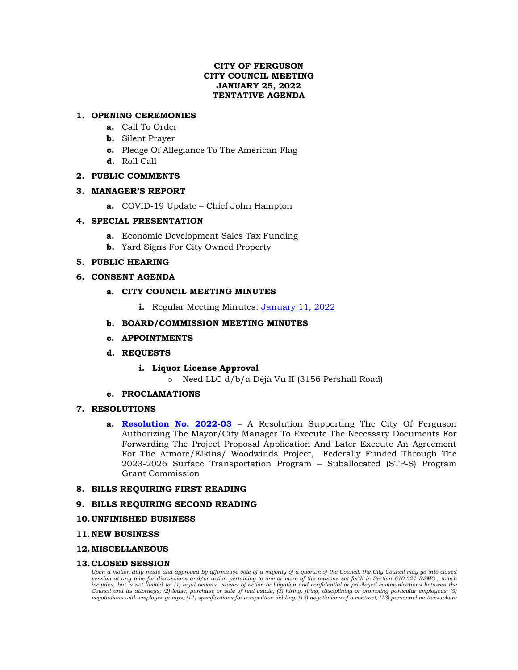# **CITY OF FERGUSON CITY COUNCIL MEETING JANUARY 25, 2022 TENTATIVE AGENDA**

# **1. OPENING CEREMONIES**

- **a.** Call To Order
- **b.** Silent Prayer
- **c.** Pledge Of Allegiance To The American Flag
- **d.** Roll Call

# **2. PUBLIC COMMENTS**

## **3. MANAGER'S REPORT**

**a.** COVID-19 Update – Chief John Hampton

# **4. SPECIAL PRESENTATION**

- **a.** Economic Development Sales Tax Funding
- **b.** Yard Signs For City Owned Property

# **5. PUBLIC HEARING**

# **6. CONSENT AGENDA**

# **a. CITY COUNCIL MEETING MINUTES**

**i.** Regular Meeting Minutes: [January 11, 2022](https://www.fergusoncity.com/DocumentCenter/View/5537/Council-Meeting-Minutes-011122)

# **b. BOARD/COMMISSION MEETING MINUTES**

**c. APPOINTMENTS**

## **d. REQUESTS**

- **i. Liquor License Approval**
	- o Need LLC d/b/a Déjà Vu II (3156 Pershall Road)

## **e. PROCLAMATIONS**

## **7. RESOLUTIONS**

**a. [Resolution No. 2022-03](https://www.fergusoncity.com/DocumentCenter/View/5536/Resolution-No-2022-03-STP-Atmore-elkins-woodwinds)** – A Resolution Supporting The City Of Ferguson Authorizing The Mayor/City Manager To Execute The Necessary Documents For Forwarding The Project Proposal Application And Later Execute An Agreement For The Atmore/Elkins/ Woodwinds Project, Federally Funded Through The 2023-2026 Surface Transportation Program – Suballocated (STP-S) Program Grant Commission

## **8. BILLS REQUIRING FIRST READING**

## **9. BILLS REQUIRING SECOND READING**

## **10.UNFINISHED BUSINESS**

## **11.NEW BUSINESS**

## **12.MISCELLANEOUS**

## **13.CLOSED SESSION**

*Upon a motion duly made and approved by affirmative vote of a majority of a quorum of the Council, the City Council may go into closed session at any time for discussions and/or action pertaining to one or more of the reasons set forth in Section 610.021 RSMO., which*  includes, but is not limited to: (1) legal actions, causes of action or litigation and confidential or privileged communications between the *Council and its attorneys; (2) lease, purchase or sale of real estate; (3) hiring, firing, disciplining or promoting particular employees; (9) negotiations with employee groups; (11) specifications for competitive bidding; (12) negotiations of a contract; (13) personnel matters where*